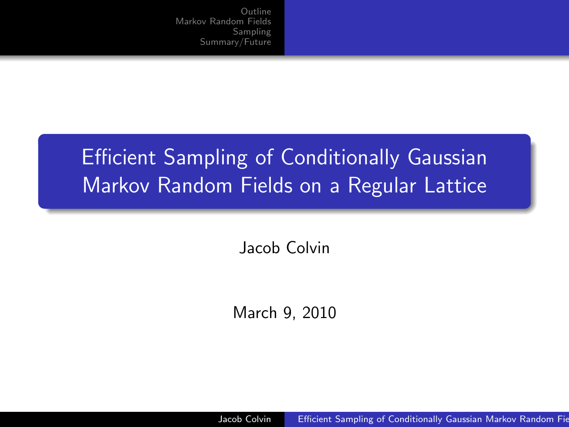## Efficient Sampling of Conditionally Gaussian Markov Random Fields on a Regular Lattice

Jacob Colvin

March 9, 2010

<span id="page-0-0"></span>Jacob Colvin **Efficient Sampling of Conditionally Gaussian Markov Random Fie**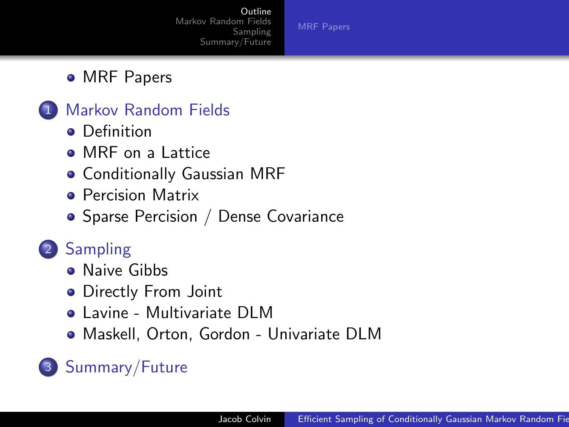<span id="page-1-0"></span>[MRF Papers](#page-2-0)

#### • [MRF Papers](#page-2-0)

#### 1 [Markov Random Fields](#page-3-0)

- **o** [Definition](#page-3-0)
- [MRF on a Lattice](#page-4-0)
- [Conditionally Gaussian MRF](#page-5-0)
- **[Percision Matrix](#page-6-0)**
- [Sparse Percision / Dense Covariance](#page-7-0)

### 2 [Sampling](#page-8-0)

- **[Naive Gibbs](#page-8-0)**
- [Directly From Joint](#page-9-0)
- [Lavine Multivariate DLM](#page-12-0)
- [Maskell, Orton, Gordon Univariate DLM](#page-14-0)

### 3 [Summary/Future](#page-15-0)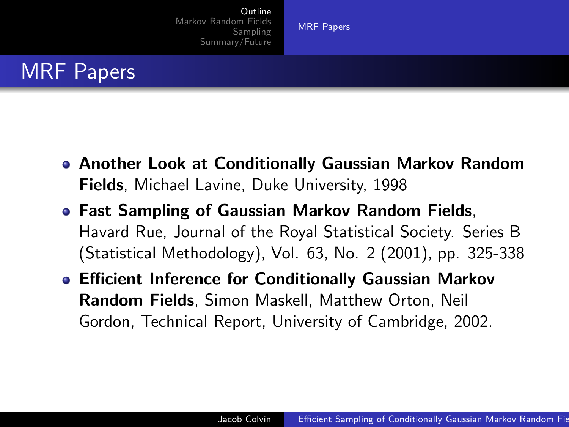<span id="page-2-0"></span>[MRF Papers](#page-2-0)

### MRF Papers

- Another Look at Conditionally Gaussian Markov Random Fields, Michael Lavine, Duke University, 1998
- Fast Sampling of Gaussian Markov Random Fields, Havard Rue, Journal of the Royal Statistical Society. Series B (Statistical Methodology), Vol. 63, No. 2 (2001), pp. 325-338
- Efficient Inference for Conditionally Gaussian Markov Random Fields, Simon Maskell, Matthew Orton, Neil Gordon, Technical Report, University of Cambridge, 2002.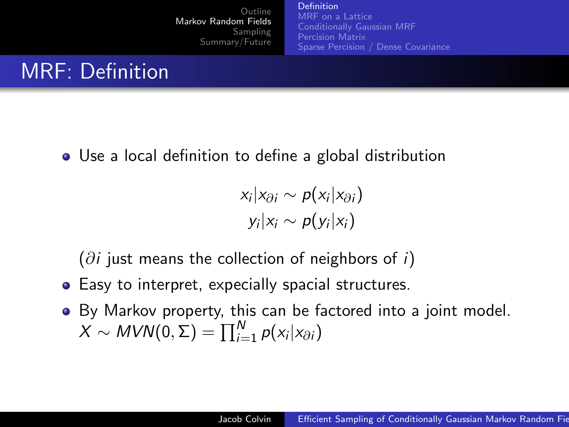[Definition](#page-3-0) [MRF on a Lattice](#page-4-0) [Conditionally Gaussian MRF](#page-5-0) [Percision Matrix](#page-6-0) [Sparse Percision / Dense Covariance](#page-7-0)

Use a local definition to define a global distribution

<span id="page-3-0"></span>
$$
x_i | x_{\partial i} \sim p(x_i | x_{\partial i})
$$
  

$$
y_i | x_i \sim p(y_i | x_i)
$$

 $(\partial i)$  just means the collection of neighbors of i)

- **•** Easy to interpret, expecially spacial structures.
- By Markov property, this can be factored into a joint model.  $X \sim MVN(0, \Sigma) = \prod_{i=1}^{N} p(x_i|x_{\partial i})$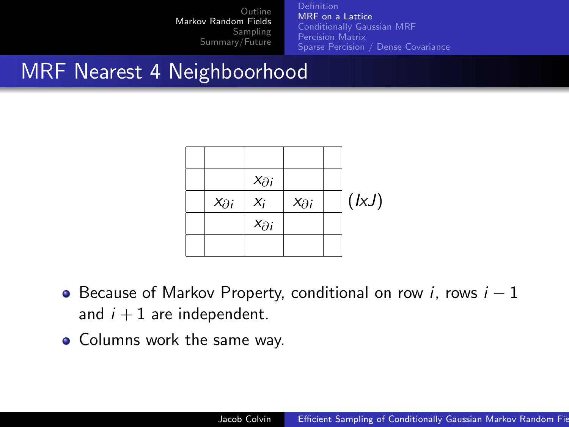[MRF on a Lattice](#page-4-0) [Conditionally Gaussian MRF](#page-5-0) [Percision Matrix](#page-6-0) [Sparse Percision / Dense Covariance](#page-7-0)

## MRF Nearest 4 Neighboorhood

<span id="page-4-0"></span>

- $\bullet$  Because of Markov Property, conditional on row *i*, rows  $i 1$ and  $i + 1$  are independent.
- Columns work the same way.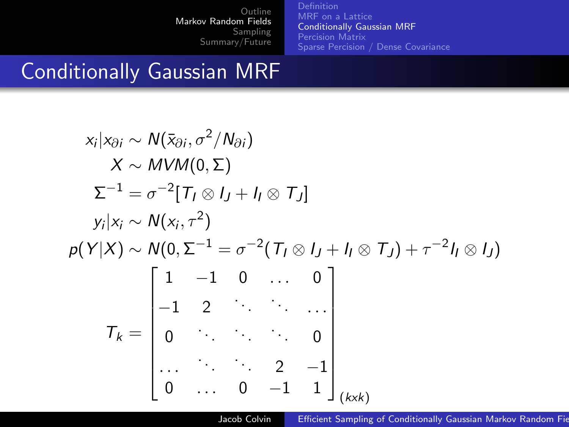[MRF on a Lattice](#page-4-0) [Conditionally Gaussian MRF](#page-5-0) [Percision Matrix](#page-6-0) [Sparse Percision / Dense Covariance](#page-7-0)

### Conditionally Gaussian MRF

$$
x_i | x_{\partial i} \sim N(\bar{x}_{\partial i}, \sigma^2 / N_{\partial i})
$$
  
\n
$$
X \sim MVM(0, \Sigma)
$$
  
\n
$$
\Sigma^{-1} = \sigma^{-2} [T_I \otimes I_J + I_I \otimes T_J]
$$
  
\n
$$
y_i | x_i \sim N(x_i, \tau^2)
$$
  
\n
$$
p(Y|X) \sim N(0, \Sigma^{-1} = \sigma^{-2} (T_I \otimes I_J + I_I \otimes T_J) + \tau^{-2} I_I \otimes I_J)
$$
  
\n
$$
T_k = \begin{bmatrix} 1 & -1 & 0 & \cdots & 0 \\ -1 & 2 & \cdots & \cdots & 0 \\ 0 & \cdots & \cdots & \cdots & 0 \\ \vdots & \vdots & \ddots & \ddots & 0 \\ 0 & \cdots & \cdots & \cdots & 2 & -1 \\ \vdots & \vdots & \ddots & \ddots & \vdots \\ 0 & \cdots & 0 & -1 & 1 \end{bmatrix}_{(kxk)}
$$

<span id="page-5-0"></span>Jacob Colvin **Efficient Sampling of Conditionally Gaussian Markov Random Fie**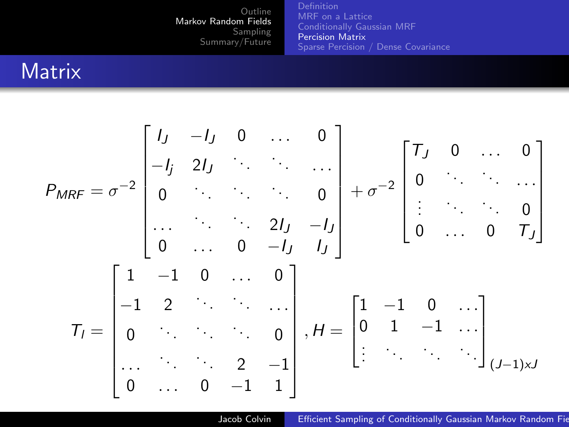[MRF on a Lattice](#page-4-0) [Conditionally Gaussian MRF](#page-5-0) [Percision Matrix](#page-6-0) [Sparse Percision / Dense Covariance](#page-7-0)

### **Matrix**

$$
P_{MRF} = \sigma^{-2} \begin{bmatrix} I_J & -I_J & 0 & \dots & 0 \\ -I_j & 2I_J & \ddots & \ddots & \dots \\ 0 & \ddots & \ddots & 0 \\ \vdots & \ddots & \ddots & 2I_J & -I_J \\ 0 & \dots & 0 & -I_J & I_J \end{bmatrix} + \sigma^{-2} \begin{bmatrix} T_J & 0 & \dots & 0 \\ 0 & \ddots & \ddots & \dots \\ \vdots & \ddots & \ddots & 0 \\ 0 & \dots & 0 & T_J \end{bmatrix}
$$

$$
T_I = \begin{bmatrix} 1 & -1 & 0 & \dots & 0 \\ -1 & 2 & \ddots & \ddots & \dots \\ 0 & \ddots & \ddots & 0 & 0 \\ \vdots & \ddots & \ddots & \ddots & \vdots \\ 0 & \dots & 0 & -1 & 1 \end{bmatrix}, H = \begin{bmatrix} 1 & -1 & 0 & \dots \\ 0 & 1 & -1 & \dots \\ \vdots & \ddots & \ddots & \vdots \\ 0 & \ddots & \ddots & \vdots \\ \vdots & \ddots & \ddots & \vdots \\ 0 & \dots & 0 & -1 & 1 \end{bmatrix}_{(J-1)\times J}
$$

<span id="page-6-0"></span>Jacob Colvin **Efficient Sampling of Conditionally Gaussian Markov Random Fie**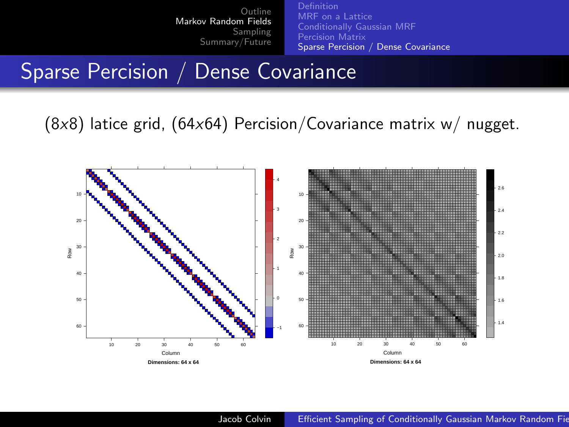<span id="page-7-0"></span>[MRF on a Lattice](#page-4-0) [Conditionally Gaussian MRF](#page-5-0) [Percision Matrix](#page-6-0) [Sparse Percision / Dense Covariance](#page-7-0)

#### Sparse Percision / Dense Covariance

 $(8x8)$  latice grid,  $(64x64)$  Percision/Covariance matrix w/ nugget.

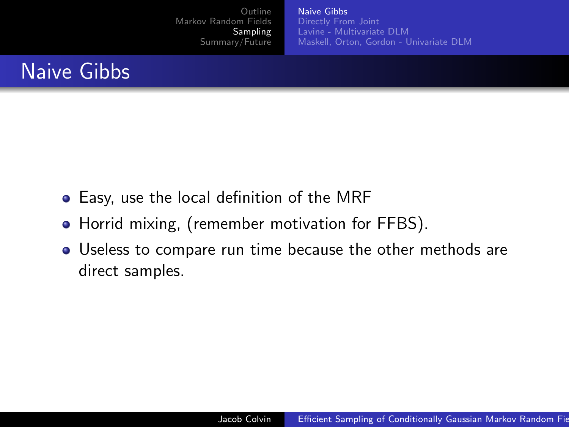<span id="page-8-0"></span>[Naive Gibbs](#page-8-0) [Lavine - Multivariate DLM](#page-12-0) [Maskell, Orton, Gordon - Univariate DLM](#page-14-0)

### Naive Gibbs

- Easy, use the local definition of the MRF
- Horrid mixing, (remember motivation for FFBS).
- Useless to compare run time because the other methods are direct samples.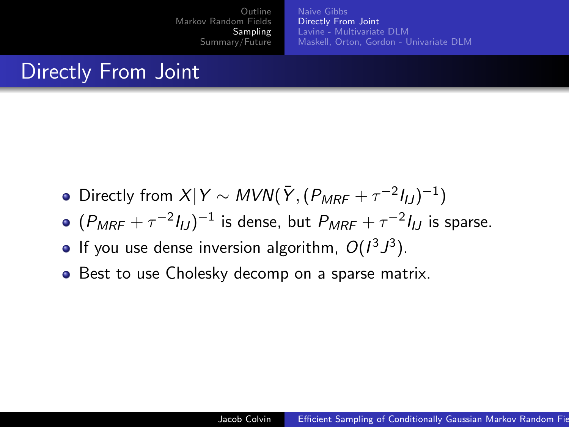<span id="page-9-0"></span>[Naive Gibbs](#page-8-0) [Directly From Joint](#page-9-0) [Lavine - Multivariate DLM](#page-12-0) [Maskell, Orton, Gordon - Univariate DLM](#page-14-0)

### Directly From Joint

- Directly from  $X|Y \sim MVN(\bar{Y}, (P_{MRF} + \tau^{-2}I_{IJ})^{-1})$
- $(P_{MRF}+\tau^{-2}I_{IJ})^{-1}$  is dense, but  $P_{MRF}+\tau^{-2}I_{IJ}$  is sparse.
- If you use dense inversion algorithm,  $O(l^3 J^3)$ .
- Best to use Cholesky decomp on a sparse matrix.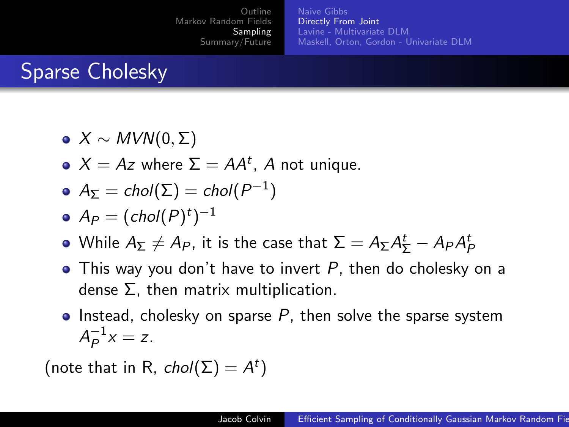[Naive Gibbs](#page-8-0) [Directly From Joint](#page-9-0) [Lavine - Multivariate DLM](#page-12-0) [Maskell, Orton, Gordon - Univariate DLM](#page-14-0)

## Sparse Cholesky

- $\bullet X \sim MVN(0,\Sigma)$
- $X = Az$  where  $\Sigma = AA^t$ , A not unique.

• 
$$
A_{\Sigma} = \text{chol}(\Sigma) = \text{chol}(P^{-1})
$$

$$
\bullet \ \ A_P = (chol(P)^t)^{-1}
$$

- While  $A_\Sigma\not=A_P$ , it is the case that  $\Sigma=A_\Sigma A^t_\Sigma-A_P A^t_P$
- $\bullet$  This way you don't have to invert  $P$ , then do cholesky on a dense Σ, then matrix multiplication.
- Instead, cholesky on sparse  $P$ , then solve the sparse system  $A_P^{-1}$  $_{P}^{-1}x = z.$

(note that in R,  $chol(\Sigma) = A^t$ )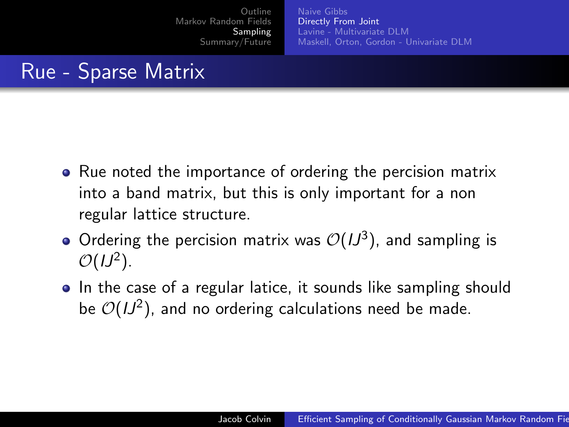[Naive Gibbs](#page-8-0) [Directly From Joint](#page-9-0) [Lavine - Multivariate DLM](#page-12-0) [Maskell, Orton, Gordon - Univariate DLM](#page-14-0)

### Rue - Sparse Matrix

- Rue noted the importance of ordering the percision matrix into a band matrix, but this is only important for a non regular lattice structure.
- Ordering the percision matrix was  $\mathcal{O}(1J^3)$ , and sampling is  $\mathcal{O}(1J^2)$ .
- In the case of a regular latice, it sounds like sampling should be  $\mathcal{O}(1J^2)$ , and no ordering calculations need be made.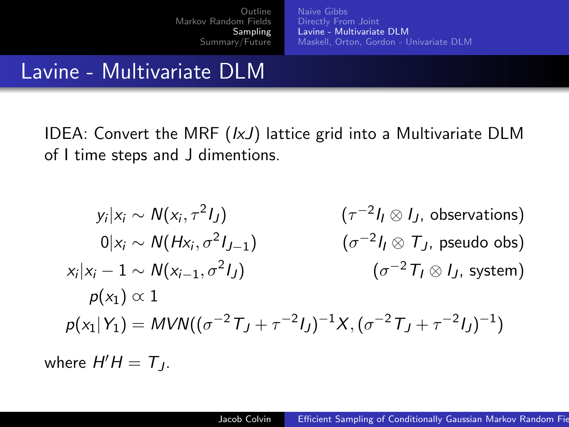<span id="page-12-0"></span>[Naive Gibbs](#page-8-0) [Directly From Joint](#page-9-0) [Lavine - Multivariate DLM](#page-12-0) [Maskell, Orton, Gordon - Univariate DLM](#page-14-0)

### Lavine - Multivariate DLM

IDEA: Convert the MRF  $(lxJ)$  lattice grid into a Multivariate DLM of I time steps and J dimentions.

$$
y_i | x_i \sim N(x_i, \tau^2 I_J) \qquad (\tau^{-2} I_I \otimes I_J, \text{ observations})
$$
  
\n
$$
0 | x_i \sim N(Hx_i, \sigma^2 I_{J-1}) \qquad (\sigma^{-2} I_I \otimes T_J, \text{ pseudo obs})
$$
  
\n
$$
x_i | x_i - 1 \sim N(x_{i-1}, \sigma^2 I_J) \qquad (\sigma^{-2} T_I \otimes I_J, \text{ system})
$$
  
\n
$$
p(x_1) \propto 1
$$
  
\n
$$
p(x_1 | Y_1) = MVN((\sigma^{-2} T_J + \tau^{-2} I_J)^{-1} X, (\sigma^{-2} T_J + \tau^{-2} I_J)^{-1})
$$

where  $H'H = T_J$ .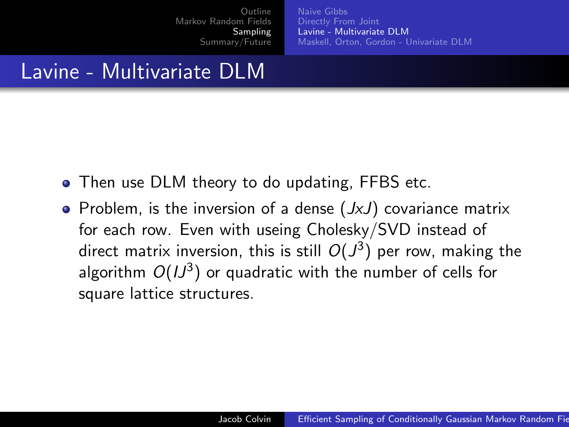[Naive Gibbs](#page-8-0) [Directly From Joint](#page-9-0) [Lavine - Multivariate DLM](#page-12-0) [Maskell, Orton, Gordon - Univariate DLM](#page-14-0)

### Lavine - Multivariate DLM

- Then use DLM theory to do updating, FFBS etc.
- Problem, is the inversion of a dense  $(JxJ)$  covariance matrix for each row. Even with useing Cholesky/SVD instead of direct matrix inversion, this is still  $O(J^3)$  per row, making the algorithm  $O(IJ^3)$  or quadratic with the number of cells for square lattice structures.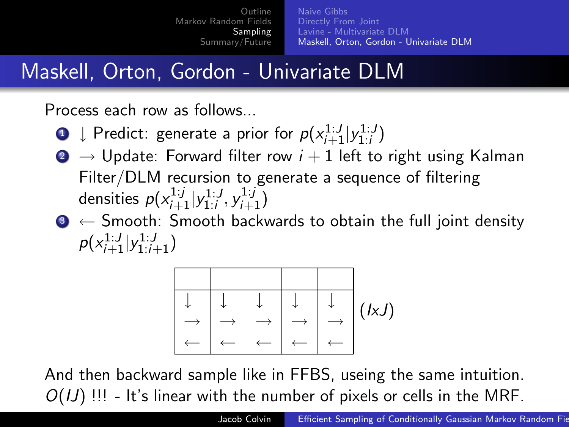[Naive Gibbs](#page-8-0) [Directly From Joint](#page-9-0) [Lavine - Multivariate DLM](#page-12-0) [Maskell, Orton, Gordon - Univariate DLM](#page-14-0)

### Maskell, Orton, Gordon - Univariate DLM

Process each row as follows...

- $\textbf{D} \downarrow$  Predict: generate a prior for  $p(x_{i+1}^{1:J}|y_{1:i}^{1:J})$
- **■**  $\rightarrow$  Update: Forward filter row  $i + 1$  left to right using Kalman Filter/DLM recursion to generate a sequence of filtering densities  $p(x_{i+1}^{1:j}|y_{1:i}^{1:j}, y_{i+1}^{1:j})$
- $\bullet \leftarrow$  Smooth: Smooth backwards to obtain the full joint density  $p(x_{i+1}^{1:J}|y_{1:i+1}^{1:J})$

<span id="page-14-0"></span>

And then backward sample like in FFBS, useing the same intuition.  $O(U)$  !!! - It's linear with the number of pixels or cells in the MRF.